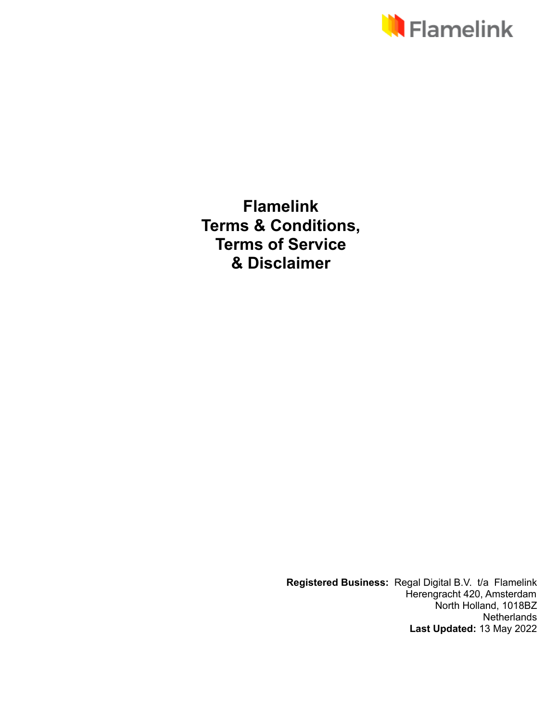

**Flamelink Terms & Conditions, Terms of Service & Disclaimer**

> **Registered Business:** Regal Digital B.V. t/a Flamelink Herengracht 420, Amsterdam North Holland, 1018BZ **Netherlands Last Updated:** 13 May 2022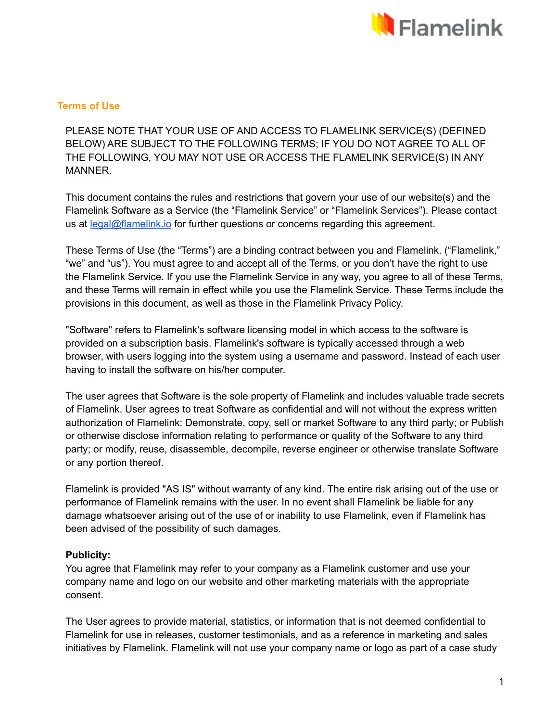

# **Terms of Use**

PLEASE NOTE THAT YOUR USE OF AND ACCESS TO FLAMELINK SERVICE(S) (DEFINED BELOW) ARE SUBJECT TO THE FOLLOWING TERMS; IF YOU DO NOT AGREE TO ALL OF THE FOLLOWING, YOU MAY NOT USE OR ACCESS THE FLAMELINK SERVICE(S) IN ANY MANNER.

This document contains the rules and restrictions that govern your use of our website(s) and the Flamelink Software as a Service (the "Flamelink Service" or "Flamelink Services"). Please contact us at [legal@flamelink.io](mailto:legal@flamelink.io) for further questions or concerns regarding this agreement.

These Terms of Use (the "Terms") are a binding contract between you and Flamelink. ("Flamelink," "we" and "us"). You must agree to and accept all of the Terms, or you don't have the right to use the Flamelink Service. If you use the Flamelink Service in any way, you agree to all of these Terms, and these Terms will remain in effect while you use the Flamelink Service. These Terms include the provisions in this document, as well as those in the Flamelink Privacy Policy.

"Software" refers to Flamelink's software licensing model in which access to the software is provided on a subscription basis. Flamelink's software is typically accessed through a web browser, with users logging into the system using a username and password. Instead of each user having to install the software on his/her computer.

The user agrees that Software is the sole property of Flamelink and includes valuable trade secrets of Flamelink. User agrees to treat Software as confidential and will not without the express written authorization of Flamelink: Demonstrate, copy, sell or market Software to any third party; or Publish or otherwise disclose information relating to performance or quality of the Software to any third party; or modify, reuse, disassemble, decompile, reverse engineer or otherwise translate Software or any portion thereof.

Flamelink is provided "AS IS" without warranty of any kind. The entire risk arising out of the use or performance of Flamelink remains with the user. In no event shall Flamelink be liable for any damage whatsoever arising out of the use of or inability to use Flamelink, even if Flamelink has been advised of the possibility of such damages.

# **Publicity:**

You agree that Flamelink may refer to your company as a Flamelink customer and use your company name and logo on our website and other marketing materials with the appropriate consent.

The User agrees to provide material, statistics, or information that is not deemed confidential to Flamelink for use in releases, customer testimonials, and as a reference in marketing and sales initiatives by Flamelink. Flamelink will not use your company name or logo as part of a case study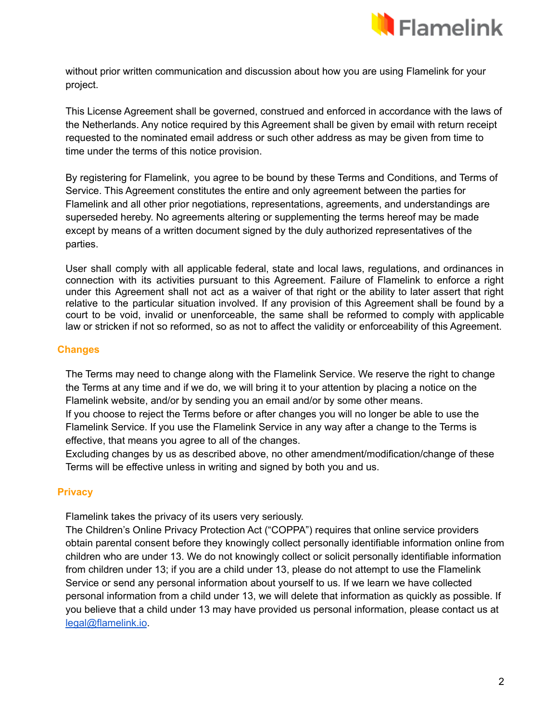

without prior written communication and discussion about how you are using Flamelink for your project.

This License Agreement shall be governed, construed and enforced in accordance with the laws of the Netherlands. Any notice required by this Agreement shall be given by email with return receipt requested to the nominated email address or such other address as may be given from time to time under the terms of this notice provision.

By registering for Flamelink, you agree to be bound by these Terms and Conditions, and Terms of Service. This Agreement constitutes the entire and only agreement between the parties for Flamelink and all other prior negotiations, representations, agreements, and understandings are superseded hereby. No agreements altering or supplementing the terms hereof may be made except by means of a written document signed by the duly authorized representatives of the parties.

User shall comply with all applicable federal, state and local laws, regulations, and ordinances in connection with its activities pursuant to this Agreement. Failure of Flamelink to enforce a right under this Agreement shall not act as a waiver of that right or the ability to later assert that right relative to the particular situation involved. If any provision of this Agreement shall be found by a court to be void, invalid or unenforceable, the same shall be reformed to comply with applicable law or stricken if not so reformed, so as not to affect the validity or enforceability of this Agreement.

# **Changes**

The Terms may need to change along with the Flamelink Service. We reserve the right to change the Terms at any time and if we do, we will bring it to your attention by placing a notice on the Flamelink website, and/or by sending you an email and/or by some other means.

If you choose to reject the Terms before or after changes you will no longer be able to use the Flamelink Service. If you use the Flamelink Service in any way after a change to the Terms is effective, that means you agree to all of the changes.

Excluding changes by us as described above, no other amendment/modification/change of these Terms will be effective unless in writing and signed by both you and us.

# **Privacy**

Flamelink takes the privacy of its users very seriously.

The Children's Online Privacy Protection Act ("COPPA") requires that online service providers obtain parental consent before they knowingly collect personally identifiable information online from children who are under 13. We do not knowingly collect or solicit personally identifiable information from children under 13; if you are a child under 13, please do not attempt to use the Flamelink Service or send any personal information about yourself to us. If we learn we have collected personal information from a child under 13, we will delete that information as quickly as possible. If you believe that a child under 13 may have provided us personal information, please contact us at [legal@flamelink.io](mailto:legal@flamelink.io).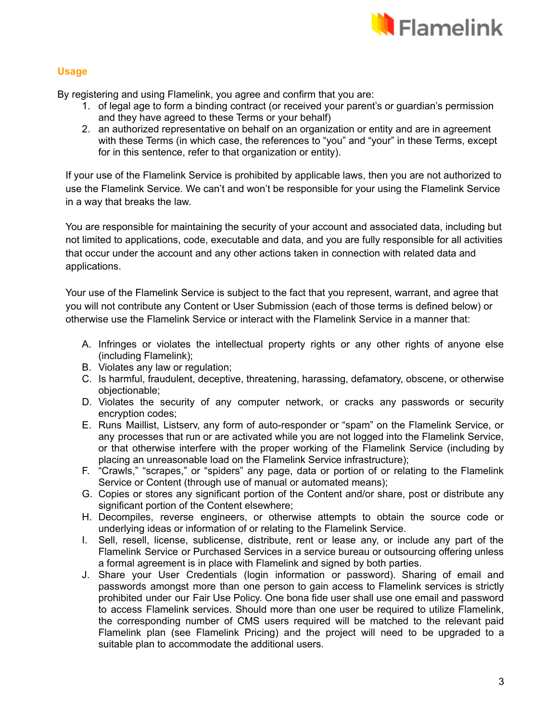

# **Usage**

By registering and using Flamelink, you agree and confirm that you are:

- 1. of legal age to form a binding contract (or received your parent's or guardian's permission and they have agreed to these Terms or your behalf)
- 2. an authorized representative on behalf on an organization or entity and are in agreement with these Terms (in which case, the references to "you" and "your" in these Terms, except for in this sentence, refer to that organization or entity).

If your use of the Flamelink Service is prohibited by applicable laws, then you are not authorized to use the Flamelink Service. We can't and won't be responsible for your using the Flamelink Service in a way that breaks the law.

You are responsible for maintaining the security of your account and associated data, including but not limited to applications, code, executable and data, and you are fully responsible for all activities that occur under the account and any other actions taken in connection with related data and applications.

Your use of the Flamelink Service is subject to the fact that you represent, warrant, and agree that you will not contribute any Content or User Submission (each of those terms is defined below) or otherwise use the Flamelink Service or interact with the Flamelink Service in a manner that:

- A. Infringes or violates the intellectual property rights or any other rights of anyone else (including Flamelink);
- B. Violates any law or regulation;
- C. Is harmful, fraudulent, deceptive, threatening, harassing, defamatory, obscene, or otherwise objectionable;
- D. Violates the security of any computer network, or cracks any passwords or security encryption codes;
- E. Runs Maillist, Listserv, any form of auto-responder or "spam" on the Flamelink Service, or any processes that run or are activated while you are not logged into the Flamelink Service, or that otherwise interfere with the proper working of the Flamelink Service (including by placing an unreasonable load on the Flamelink Service infrastructure);
- F. "Crawls," "scrapes," or "spiders" any page, data or portion of or relating to the Flamelink Service or Content (through use of manual or automated means);
- G. Copies or stores any significant portion of the Content and/or share, post or distribute any significant portion of the Content elsewhere;
- H. Decompiles, reverse engineers, or otherwise attempts to obtain the source code or underlying ideas or information of or relating to the Flamelink Service.
- I. Sell, resell, license, sublicense, distribute, rent or lease any, or include any part of the Flamelink Service or Purchased Services in a service bureau or outsourcing offering unless a formal agreement is in place with Flamelink and signed by both parties.
- J. Share your User Credentials (login information or password). Sharing of email and passwords amongst more than one person to gain access to Flamelink services is strictly prohibited under our Fair Use Policy. One bona fide user shall use one email and password to access Flamelink services. Should more than one user be required to utilize Flamelink, the corresponding number of CMS users required will be matched to the relevant paid Flamelink plan (see Flamelink Pricing) and the project will need to be upgraded to a suitable plan to accommodate the additional users.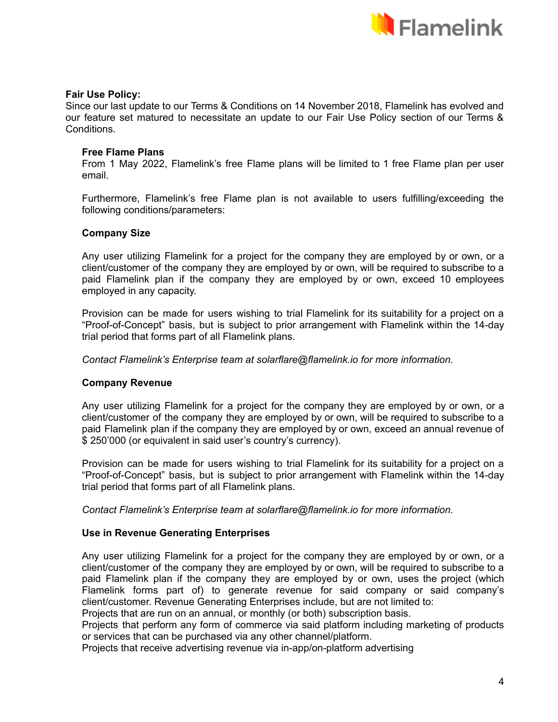

#### **Fair Use Policy:**

Since our last update to our Terms & Conditions on 14 November 2018, Flamelink has evolved and our feature set matured to necessitate an update to our Fair Use Policy section of our Terms & Conditions.

#### **Free Flame Plans**

From 1 May 2022, Flamelink's free Flame plans will be limited to 1 free Flame plan per user email.

Furthermore, Flamelink's free Flame plan is not available to users fulfilling/exceeding the following conditions/parameters:

#### **Company Size**

Any user utilizing Flamelink for a project for the company they are employed by or own, or a client/customer of the company they are employed by or own, will be required to subscribe to a paid Flamelink plan if the company they are employed by or own, exceed 10 employees employed in any capacity.

Provision can be made for users wishing to trial Flamelink for its suitability for a project on a "Proof-of-Concept" basis, but is subject to prior arrangement with Flamelink within the 14-day trial period that forms part of all Flamelink plans.

*Contact Flamelink's Enterprise team at solarflare@flamelink.io for more information.*

#### **Company Revenue**

Any user utilizing Flamelink for a project for the company they are employed by or own, or a client/customer of the company they are employed by or own, will be required to subscribe to a paid Flamelink plan if the company they are employed by or own, exceed an annual revenue of \$ 250'000 (or equivalent in said user's country's currency).

Provision can be made for users wishing to trial Flamelink for its suitability for a project on a "Proof-of-Concept" basis, but is subject to prior arrangement with Flamelink within the 14-day trial period that forms part of all Flamelink plans.

*Contact Flamelink's Enterprise team at solarflare@flamelink.io for more information.*

#### **Use in Revenue Generating Enterprises**

Any user utilizing Flamelink for a project for the company they are employed by or own, or a client/customer of the company they are employed by or own, will be required to subscribe to a paid Flamelink plan if the company they are employed by or own, uses the project (which Flamelink forms part of) to generate revenue for said company or said company's client/customer. Revenue Generating Enterprises include, but are not limited to: Projects that are run on an annual, or monthly (or both) subscription basis.

Projects that perform any form of commerce via said platform including marketing of products or services that can be purchased via any other channel/platform.

Projects that receive advertising revenue via in-app/on-platform advertising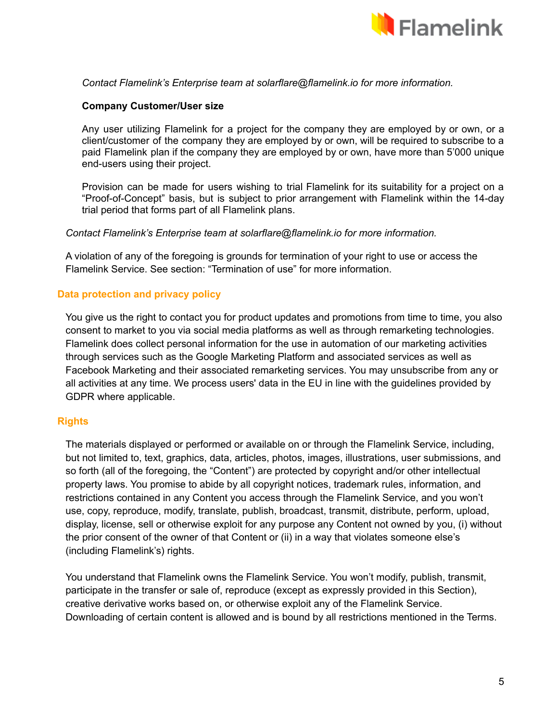

### *Contact Flamelink's Enterprise team at solarflare@flamelink.io for more information.*

### **Company Customer/User size**

Any user utilizing Flamelink for a project for the company they are employed by or own, or a client/customer of the company they are employed by or own, will be required to subscribe to a paid Flamelink plan if the company they are employed by or own, have more than 5'000 unique end-users using their project.

Provision can be made for users wishing to trial Flamelink for its suitability for a project on a "Proof-of-Concept" basis, but is subject to prior arrangement with Flamelink within the 14-day trial period that forms part of all Flamelink plans.

#### *Contact Flamelink's Enterprise team at solarflare@flamelink.io for more information.*

A violation of any of the foregoing is grounds for termination of your right to use or access the Flamelink Service. See section: "Termination of use" for more information.

### **Data protection and privacy policy**

You give us the right to contact you for product updates and promotions from time to time, you also consent to market to you via social media platforms as well as through remarketing technologies. Flamelink does collect personal information for the use in automation of our marketing activities through services such as the Google Marketing Platform and associated services as well as Facebook Marketing and their associated remarketing services. You may unsubscribe from any or all activities at any time. We process users' data in the EU in line with the guidelines provided by GDPR where applicable.

# **Rights**

The materials displayed or performed or available on or through the Flamelink Service, including, but not limited to, text, graphics, data, articles, photos, images, illustrations, user submissions, and so forth (all of the foregoing, the "Content") are protected by copyright and/or other intellectual property laws. You promise to abide by all copyright notices, trademark rules, information, and restrictions contained in any Content you access through the Flamelink Service, and you won't use, copy, reproduce, modify, translate, publish, broadcast, transmit, distribute, perform, upload, display, license, sell or otherwise exploit for any purpose any Content not owned by you, (i) without the prior consent of the owner of that Content or (ii) in a way that violates someone else's (including Flamelink's) rights.

You understand that Flamelink owns the Flamelink Service. You won't modify, publish, transmit, participate in the transfer or sale of, reproduce (except as expressly provided in this Section), creative derivative works based on, or otherwise exploit any of the Flamelink Service. Downloading of certain content is allowed and is bound by all restrictions mentioned in the Terms.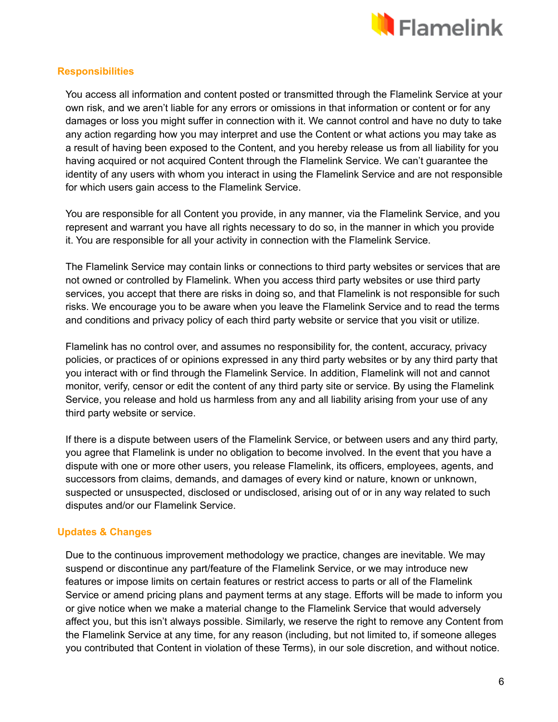

# **Responsibilities**

You access all information and content posted or transmitted through the Flamelink Service at your own risk, and we aren't liable for any errors or omissions in that information or content or for any damages or loss you might suffer in connection with it. We cannot control and have no duty to take any action regarding how you may interpret and use the Content or what actions you may take as a result of having been exposed to the Content, and you hereby release us from all liability for you having acquired or not acquired Content through the Flamelink Service. We can't guarantee the identity of any users with whom you interact in using the Flamelink Service and are not responsible for which users gain access to the Flamelink Service.

You are responsible for all Content you provide, in any manner, via the Flamelink Service, and you represent and warrant you have all rights necessary to do so, in the manner in which you provide it. You are responsible for all your activity in connection with the Flamelink Service.

The Flamelink Service may contain links or connections to third party websites or services that are not owned or controlled by Flamelink. When you access third party websites or use third party services, you accept that there are risks in doing so, and that Flamelink is not responsible for such risks. We encourage you to be aware when you leave the Flamelink Service and to read the terms and conditions and privacy policy of each third party website or service that you visit or utilize.

Flamelink has no control over, and assumes no responsibility for, the content, accuracy, privacy policies, or practices of or opinions expressed in any third party websites or by any third party that you interact with or find through the Flamelink Service. In addition, Flamelink will not and cannot monitor, verify, censor or edit the content of any third party site or service. By using the Flamelink Service, you release and hold us harmless from any and all liability arising from your use of any third party website or service.

If there is a dispute between users of the Flamelink Service, or between users and any third party, you agree that Flamelink is under no obligation to become involved. In the event that you have a dispute with one or more other users, you release Flamelink, its officers, employees, agents, and successors from claims, demands, and damages of every kind or nature, known or unknown, suspected or unsuspected, disclosed or undisclosed, arising out of or in any way related to such disputes and/or our Flamelink Service.

# **Updates & Changes**

Due to the continuous improvement methodology we practice, changes are inevitable. We may suspend or discontinue any part/feature of the Flamelink Service, or we may introduce new features or impose limits on certain features or restrict access to parts or all of the Flamelink Service or amend pricing plans and payment terms at any stage. Efforts will be made to inform you or give notice when we make a material change to the Flamelink Service that would adversely affect you, but this isn't always possible. Similarly, we reserve the right to remove any Content from the Flamelink Service at any time, for any reason (including, but not limited to, if someone alleges you contributed that Content in violation of these Terms), in our sole discretion, and without notice.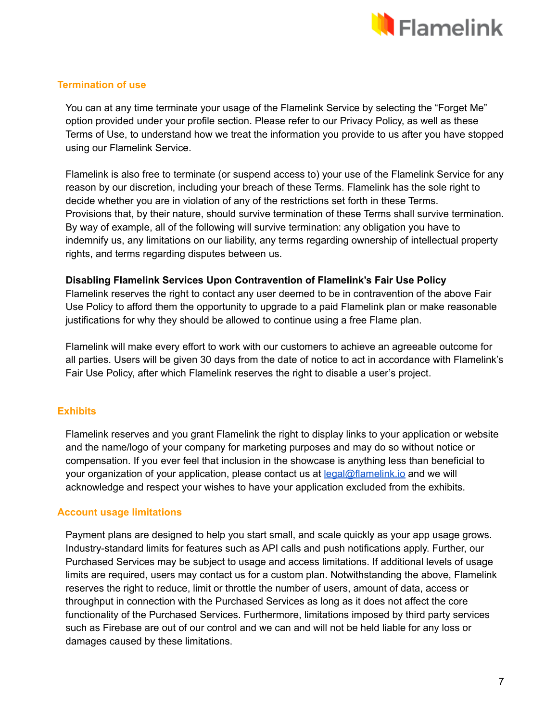

# **Termination of use**

You can at any time terminate your usage of the Flamelink Service by selecting the "Forget Me" option provided under your profile section. Please refer to our Privacy Policy, as well as these Terms of Use, to understand how we treat the information you provide to us after you have stopped using our Flamelink Service.

Flamelink is also free to terminate (or suspend access to) your use of the Flamelink Service for any reason by our discretion, including your breach of these Terms. Flamelink has the sole right to decide whether you are in violation of any of the restrictions set forth in these Terms. Provisions that, by their nature, should survive termination of these Terms shall survive termination. By way of example, all of the following will survive termination: any obligation you have to indemnify us, any limitations on our liability, any terms regarding ownership of intellectual property rights, and terms regarding disputes between us.

# **Disabling Flamelink Services Upon Contravention of Flamelink's Fair Use Policy**

Flamelink reserves the right to contact any user deemed to be in contravention of the above Fair Use Policy to afford them the opportunity to upgrade to a paid Flamelink plan or make reasonable justifications for why they should be allowed to continue using a free Flame plan.

Flamelink will make every effort to work with our customers to achieve an agreeable outcome for all parties. Users will be given 30 days from the date of notice to act in accordance with Flamelink's Fair Use Policy, after which Flamelink reserves the right to disable a user's project.

# **Exhibits**

Flamelink reserves and you grant Flamelink the right to display links to your application or website and the name/logo of your company for marketing purposes and may do so without notice or compensation. If you ever feel that inclusion in the showcase is anything less than beneficial to your organization of your application, please contact us at [legal@flamelink.io](mailto:legal@flamelink.io) and we will acknowledge and respect your wishes to have your application excluded from the exhibits.

# **Account usage limitations**

Payment plans are designed to help you start small, and scale quickly as your app usage grows. Industry-standard limits for features such as API calls and push notifications apply. Further, our Purchased Services may be subject to usage and access limitations. If additional levels of usage limits are required, users may contact us for a custom plan. Notwithstanding the above, Flamelink reserves the right to reduce, limit or throttle the number of users, amount of data, access or throughput in connection with the Purchased Services as long as it does not affect the core functionality of the Purchased Services. Furthermore, limitations imposed by third party services such as Firebase are out of our control and we can and will not be held liable for any loss or damages caused by these limitations.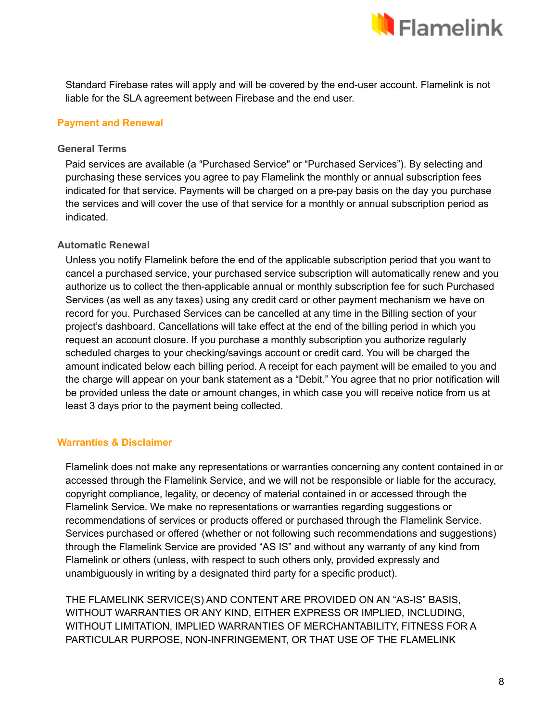

Standard Firebase rates will apply and will be covered by the end-user account. Flamelink is not liable for the SLA agreement between Firebase and the end user.

# **Payment and Renewal**

### **General Terms**

Paid services are available (a "Purchased Service" or "Purchased Services"). By selecting and purchasing these services you agree to pay Flamelink the monthly or annual subscription fees indicated for that service. Payments will be charged on a pre-pay basis on the day you purchase the services and will cover the use of that service for a monthly or annual subscription period as indicated.

# **Automatic Renewal**

Unless you notify Flamelink before the end of the applicable subscription period that you want to cancel a purchased service, your purchased service subscription will automatically renew and you authorize us to collect the then-applicable annual or monthly subscription fee for such Purchased Services (as well as any taxes) using any credit card or other payment mechanism we have on record for you. Purchased Services can be cancelled at any time in the Billing section of your project's dashboard. Cancellations will take effect at the end of the billing period in which you request an account closure. If you purchase a monthly subscription you authorize regularly scheduled charges to your checking/savings account or credit card. You will be charged the amount indicated below each billing period. A receipt for each payment will be emailed to you and the charge will appear on your bank statement as a "Debit." You agree that no prior notification will be provided unless the date or amount changes, in which case you will receive notice from us at least 3 days prior to the payment being collected.

# **Warranties & Disclaimer**

Flamelink does not make any representations or warranties concerning any content contained in or accessed through the Flamelink Service, and we will not be responsible or liable for the accuracy, copyright compliance, legality, or decency of material contained in or accessed through the Flamelink Service. We make no representations or warranties regarding suggestions or recommendations of services or products offered or purchased through the Flamelink Service. Services purchased or offered (whether or not following such recommendations and suggestions) through the Flamelink Service are provided "AS IS" and without any warranty of any kind from Flamelink or others (unless, with respect to such others only, provided expressly and unambiguously in writing by a designated third party for a specific product).

THE FLAMELINK SERVICE(S) AND CONTENT ARE PROVIDED ON AN "AS-IS" BASIS, WITHOUT WARRANTIES OR ANY KIND, EITHER EXPRESS OR IMPLIED, INCLUDING, WITHOUT LIMITATION, IMPLIED WARRANTIES OF MERCHANTABILITY, FITNESS FOR A PARTICULAR PURPOSE, NON-INFRINGEMENT, OR THAT USE OF THE FLAMELINK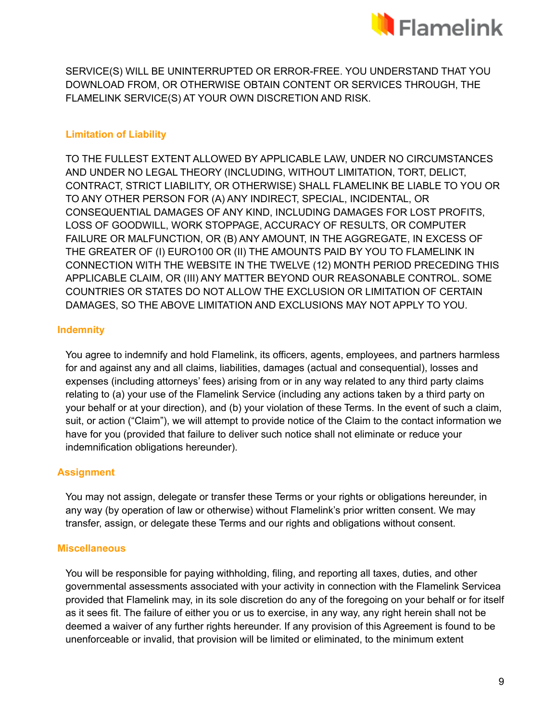

SERVICE(S) WILL BE UNINTERRUPTED OR ERROR-FREE. YOU UNDERSTAND THAT YOU DOWNLOAD FROM, OR OTHERWISE OBTAIN CONTENT OR SERVICES THROUGH, THE FLAMELINK SERVICE(S) AT YOUR OWN DISCRETION AND RISK.

# **Limitation of Liability**

TO THE FULLEST EXTENT ALLOWED BY APPLICABLE LAW, UNDER NO CIRCUMSTANCES AND UNDER NO LEGAL THEORY (INCLUDING, WITHOUT LIMITATION, TORT, DELICT, CONTRACT, STRICT LIABILITY, OR OTHERWISE) SHALL FLAMELINK BE LIABLE TO YOU OR TO ANY OTHER PERSON FOR (A) ANY INDIRECT, SPECIAL, INCIDENTAL, OR CONSEQUENTIAL DAMAGES OF ANY KIND, INCLUDING DAMAGES FOR LOST PROFITS, LOSS OF GOODWILL, WORK STOPPAGE, ACCURACY OF RESULTS, OR COMPUTER FAILURE OR MALFUNCTION, OR (B) ANY AMOUNT, IN THE AGGREGATE, IN EXCESS OF THE GREATER OF (I) EURO100 OR (II) THE AMOUNTS PAID BY YOU TO FLAMELINK IN CONNECTION WITH THE WEBSITE IN THE TWELVE (12) MONTH PERIOD PRECEDING THIS APPLICABLE CLAIM, OR (III) ANY MATTER BEYOND OUR REASONABLE CONTROL. SOME COUNTRIES OR STATES DO NOT ALLOW THE EXCLUSION OR LIMITATION OF CERTAIN DAMAGES, SO THE ABOVE LIMITATION AND EXCLUSIONS MAY NOT APPLY TO YOU.

# **Indemnity**

You agree to indemnify and hold Flamelink, its officers, agents, employees, and partners harmless for and against any and all claims, liabilities, damages (actual and consequential), losses and expenses (including attorneys' fees) arising from or in any way related to any third party claims relating to (a) your use of the Flamelink Service (including any actions taken by a third party on your behalf or at your direction), and (b) your violation of these Terms. In the event of such a claim, suit, or action ("Claim"), we will attempt to provide notice of the Claim to the contact information we have for you (provided that failure to deliver such notice shall not eliminate or reduce your indemnification obligations hereunder).

# **Assignment**

You may not assign, delegate or transfer these Terms or your rights or obligations hereunder, in any way (by operation of law or otherwise) without Flamelink's prior written consent. We may transfer, assign, or delegate these Terms and our rights and obligations without consent.

#### **Miscellaneous**

You will be responsible for paying withholding, filing, and reporting all taxes, duties, and other governmental assessments associated with your activity in connection with the Flamelink Servicea provided that Flamelink may, in its sole discretion do any of the foregoing on your behalf or for itself as it sees fit. The failure of either you or us to exercise, in any way, any right herein shall not be deemed a waiver of any further rights hereunder. If any provision of this Agreement is found to be unenforceable or invalid, that provision will be limited or eliminated, to the minimum extent